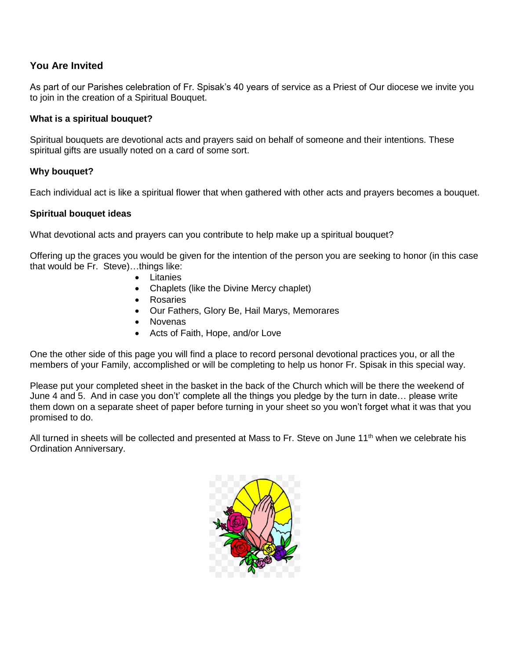## **You Are Invited**

As part of our Parishes celebration of Fr. Spisak's 40 years of service as a Priest of Our diocese we invite you to join in the creation of a Spiritual Bouquet.

## **What is a spiritual bouquet?**

Spiritual bouquets are devotional acts and prayers said on behalf of someone and their intentions. These spiritual gifts are usually noted on a card of some sort.

### **Why bouquet?**

Each individual act is like a spiritual flower that when gathered with other acts and prayers becomes a bouquet.

#### **Spiritual bouquet ideas**

What devotional acts and prayers can you contribute to help make up a spiritual bouquet?

Offering up the graces you would be given for the intention of the person you are seeking to honor (in this case that would be Fr. Steve)…things like:

- Litanies
- Chaplets (like the Divine Mercy chaplet)
- Rosaries
- Our Fathers, Glory Be, Hail Marys, Memorares
- Novenas
- Acts of Faith, Hope, and/or Love

One the other side of this page you will find a place to record personal devotional practices you, or all the members of your Family, accomplished or will be completing to help us honor Fr. Spisak in this special way.

Please put your completed sheet in the basket in the back of the Church which will be there the weekend of June 4 and 5. And in case you don't' complete all the things you pledge by the turn in date… please write them down on a separate sheet of paper before turning in your sheet so you won't forget what it was that you promised to do.

All turned in sheets will be collected and presented at Mass to Fr. Steve on June 11<sup>th</sup> when we celebrate his Ordination Anniversary.